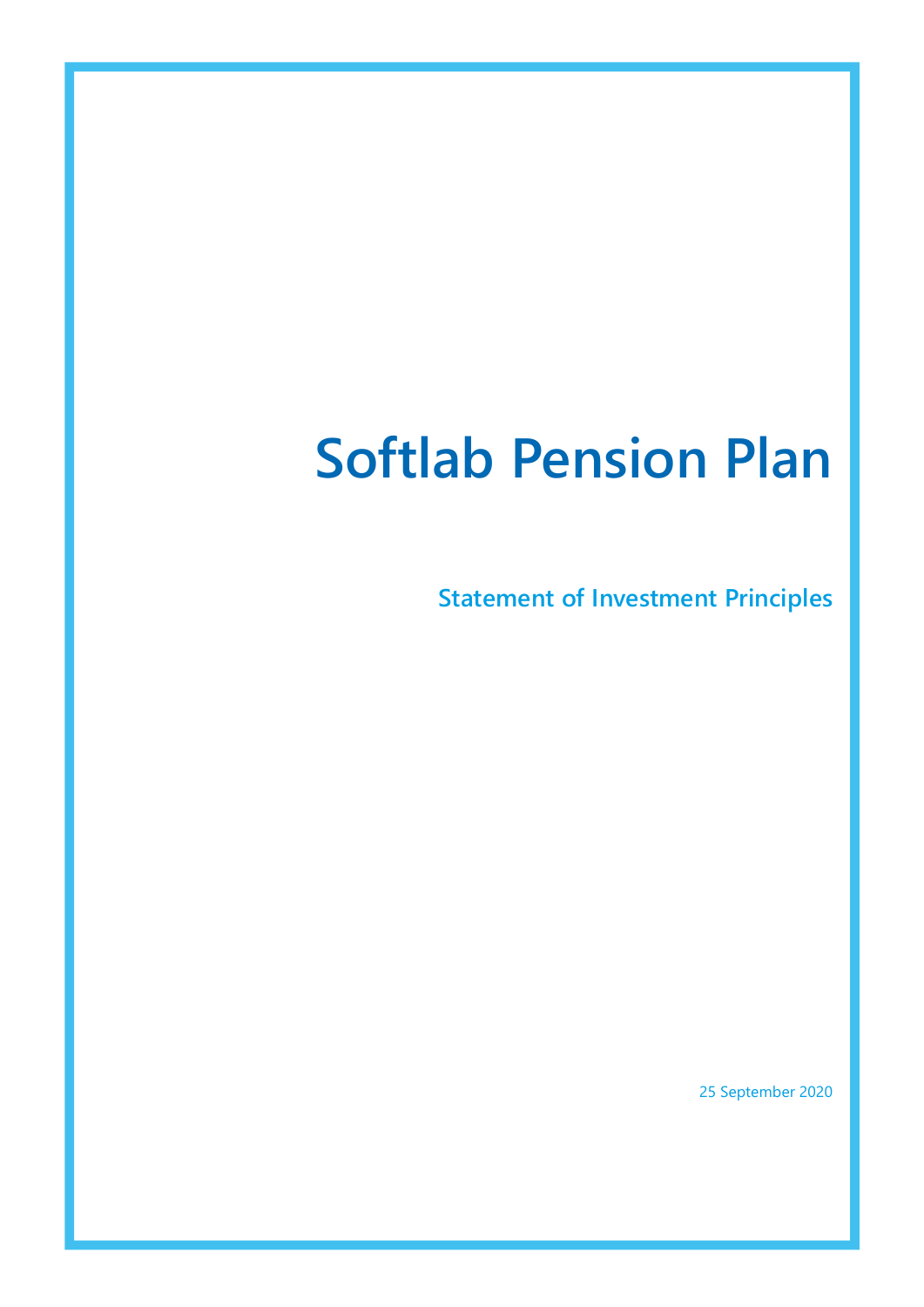# Softlab Pension Plan

**Statement of Investment Principles** 

25 September 2020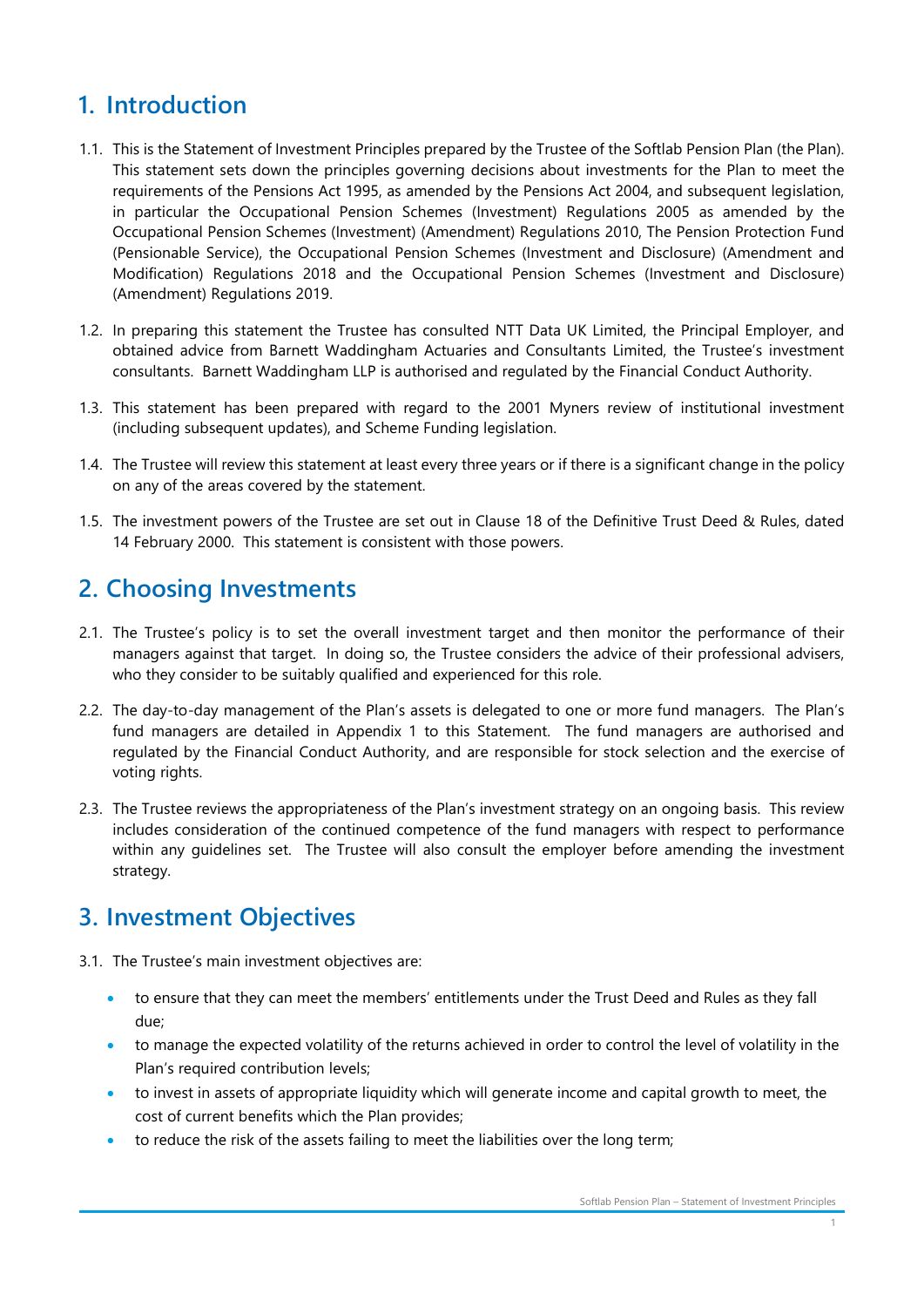# 1. Introduction

- 1.1. This is the Statement of Investment Principles prepared by the Trustee of the Softlab Pension Plan (the Plan). This statement sets down the principles governing decisions about investments for the Plan to meet the requirements of the Pensions Act 1995, as amended by the Pensions Act 2004, and subsequent legislation, in particular the Occupational Pension Schemes (Investment) Regulations 2005 as amended by the Occupational Pension Schemes (Investment) (Amendment) Regulations 2010, The Pension Protection Fund (Pensionable Service), the Occupational Pension Schemes (Investment and Disclosure) (Amendment and Modification) Regulations 2018 and the Occupational Pension Schemes (Investment and Disclosure) (Amendment) Regulations 2019.
- 1.2. In preparing this statement the Trustee has consulted NTT Data UK Limited, the Principal Employer, and obtained advice from Barnett Waddingham Actuaries and Consultants Limited, the Trustee's investment consultants. Barnett Waddingham LLP is authorised and regulated by the Financial Conduct Authority.
- 1.3. This statement has been prepared with regard to the 2001 Myners review of institutional investment (including subsequent updates), and Scheme Funding legislation.
- 1.4. The Trustee will review this statement at least every three years or if there is a significant change in the policy on any of the areas covered by the statement.
- 1.5. The investment powers of the Trustee are set out in Clause 18 of the Definitive Trust Deed & Rules, dated 14 February 2000. This statement is consistent with those powers.

# 2. Choosing Investments

- 2.1. The Trustee's policy is to set the overall investment target and then monitor the performance of their managers against that target. In doing so, the Trustee considers the advice of their professional advisers, who they consider to be suitably qualified and experienced for this role.
- 2.2. The day-to-day management of the Plan's assets is delegated to one or more fund managers. The Plan's fund managers are detailed in Appendix 1 to this Statement. The fund managers are authorised and regulated by the Financial Conduct Authority, and are responsible for stock selection and the exercise of voting rights.
- 2.3. The Trustee reviews the appropriateness of the Plan's investment strategy on an ongoing basis. This review includes consideration of the continued competence of the fund managers with respect to performance within any guidelines set. The Trustee will also consult the employer before amending the investment strategy.

# 3. Investment Objectives

- 3.1. The Trustee's main investment objectives are:
	- to ensure that they can meet the members' entitlements under the Trust Deed and Rules as they fall due;
	- to manage the expected volatility of the returns achieved in order to control the level of volatility in the Plan's required contribution levels;
	- to invest in assets of appropriate liquidity which will generate income and capital growth to meet, the cost of current benefits which the Plan provides;
	- to reduce the risk of the assets failing to meet the liabilities over the long term;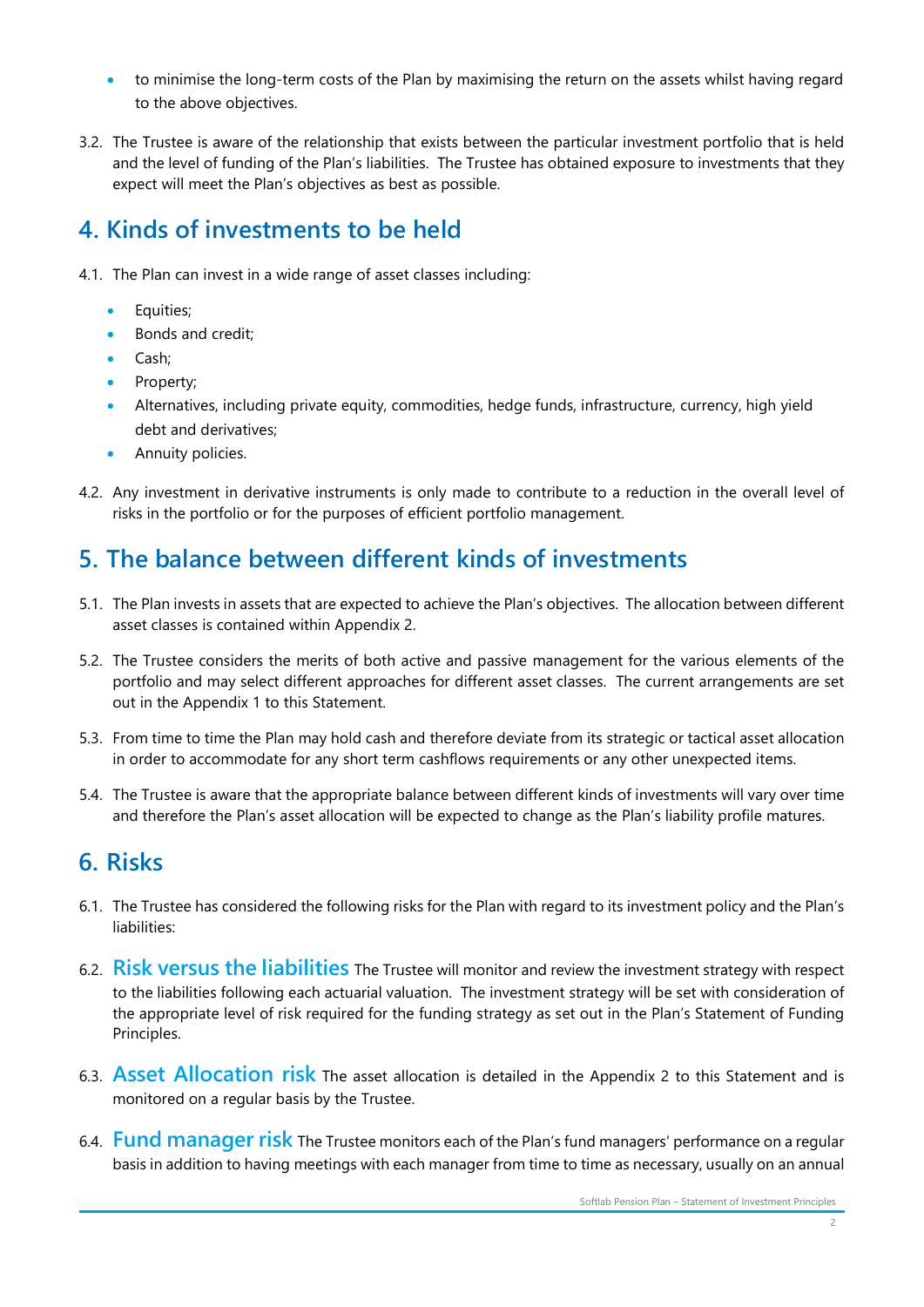- to minimise the long-term costs of the Plan by maximising the return on the assets whilst having regard to the above objectives.
- 3.2. The Trustee is aware of the relationship that exists between the particular investment portfolio that is held and the level of funding of the Plan's liabilities. The Trustee has obtained exposure to investments that they expect will meet the Plan's objectives as best as possible.

# 4. Kinds of investments to be held

- 4.1. The Plan can invest in a wide range of asset classes including:
	- Equities;
	- Bonds and credit;
	- Cash;
	- Property;
	- Alternatives, including private equity, commodities, hedge funds, infrastructure, currency, high yield debt and derivatives;
	- Annuity policies.
- 4.2. Any investment in derivative instruments is only made to contribute to a reduction in the overall level of risks in the portfolio or for the purposes of efficient portfolio management.

# 5. The balance between different kinds of investments

- 5.1. The Plan invests in assets that are expected to achieve the Plan's objectives. The allocation between different asset classes is contained within Appendix 2.
- 5.2. The Trustee considers the merits of both active and passive management for the various elements of the portfolio and may select different approaches for different asset classes. The current arrangements are set out in the Appendix 1 to this Statement.
- 5.3. From time to time the Plan may hold cash and therefore deviate from its strategic or tactical asset allocation in order to accommodate for any short term cashflows requirements or any other unexpected items.
- 5.4. The Trustee is aware that the appropriate balance between different kinds of investments will vary over time and therefore the Plan's asset allocation will be expected to change as the Plan's liability profile matures.

# 6. Risks

- 6.1. The Trustee has considered the following risks for the Plan with regard to its investment policy and the Plan's liabilities:
- 6.2. Risk versus the liabilities The Trustee will monitor and review the investment strategy with respect to the liabilities following each actuarial valuation. The investment strategy will be set with consideration of the appropriate level of risk required for the funding strategy as set out in the Plan's Statement of Funding Principles.
- 6.3. Asset Allocation risk The asset allocation is detailed in the Appendix 2 to this Statement and is monitored on a regular basis by the Trustee.
- 6.4. Fund manager risk The Trustee monitors each of the Plan's fund managers' performance on a regular basis in addition to having meetings with each manager from time to time as necessary, usually on an annual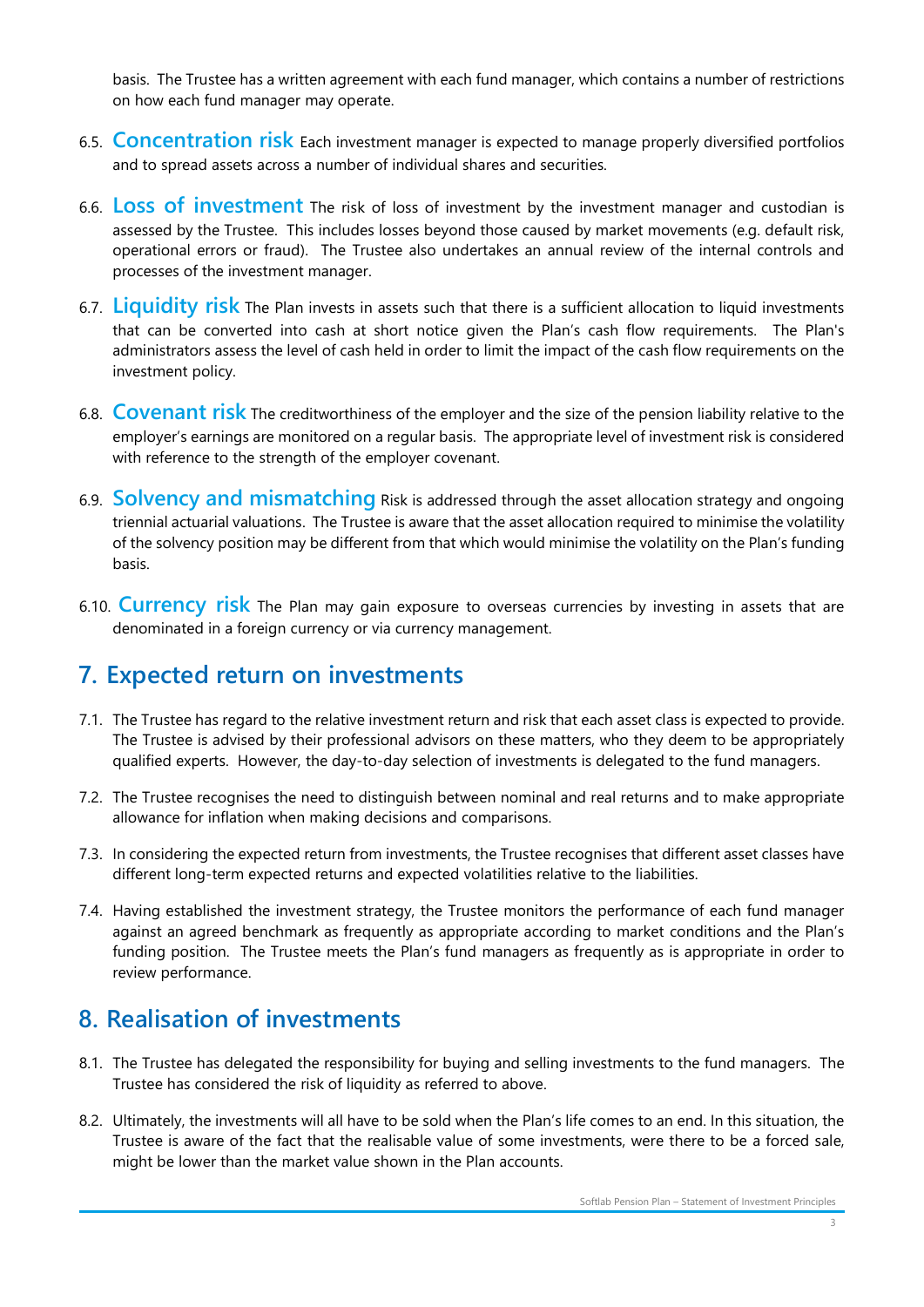basis. The Trustee has a written agreement with each fund manager, which contains a number of restrictions on how each fund manager may operate.

- 6.5. Concentration risk Each investment manager is expected to manage properly diversified portfolios and to spread assets across a number of individual shares and securities.
- 6.6. Loss of investment The risk of loss of investment by the investment manager and custodian is assessed by the Trustee. This includes losses beyond those caused by market movements (e.g. default risk, operational errors or fraud). The Trustee also undertakes an annual review of the internal controls and processes of the investment manager.
- 6.7. Liquidity risk The Plan invests in assets such that there is a sufficient allocation to liquid investments that can be converted into cash at short notice given the Plan's cash flow requirements. The Plan's administrators assess the level of cash held in order to limit the impact of the cash flow requirements on the investment policy.
- 6.8. Covenant risk The creditworthiness of the employer and the size of the pension liability relative to the employer's earnings are monitored on a regular basis. The appropriate level of investment risk is considered with reference to the strength of the employer covenant.
- 6.9. **Solvency and mismatching** Risk is addressed through the asset allocation strategy and ongoing triennial actuarial valuations. The Trustee is aware that the asset allocation required to minimise the volatility of the solvency position may be different from that which would minimise the volatility on the Plan's funding basis.
- 6.10. Currency risk The Plan may gain exposure to overseas currencies by investing in assets that are denominated in a foreign currency or via currency management.

# 7. Expected return on investments

- 7.1. The Trustee has regard to the relative investment return and risk that each asset class is expected to provide. The Trustee is advised by their professional advisors on these matters, who they deem to be appropriately qualified experts. However, the day-to-day selection of investments is delegated to the fund managers.
- 7.2. The Trustee recognises the need to distinguish between nominal and real returns and to make appropriate allowance for inflation when making decisions and comparisons.
- 7.3. In considering the expected return from investments, the Trustee recognises that different asset classes have different long-term expected returns and expected volatilities relative to the liabilities.
- 7.4. Having established the investment strategy, the Trustee monitors the performance of each fund manager against an agreed benchmark as frequently as appropriate according to market conditions and the Plan's funding position. The Trustee meets the Plan's fund managers as frequently as is appropriate in order to review performance.

# 8. Realisation of investments

- 8.1. The Trustee has delegated the responsibility for buying and selling investments to the fund managers. The Trustee has considered the risk of liquidity as referred to above.
- 8.2. Ultimately, the investments will all have to be sold when the Plan's life comes to an end. In this situation, the Trustee is aware of the fact that the realisable value of some investments, were there to be a forced sale, might be lower than the market value shown in the Plan accounts.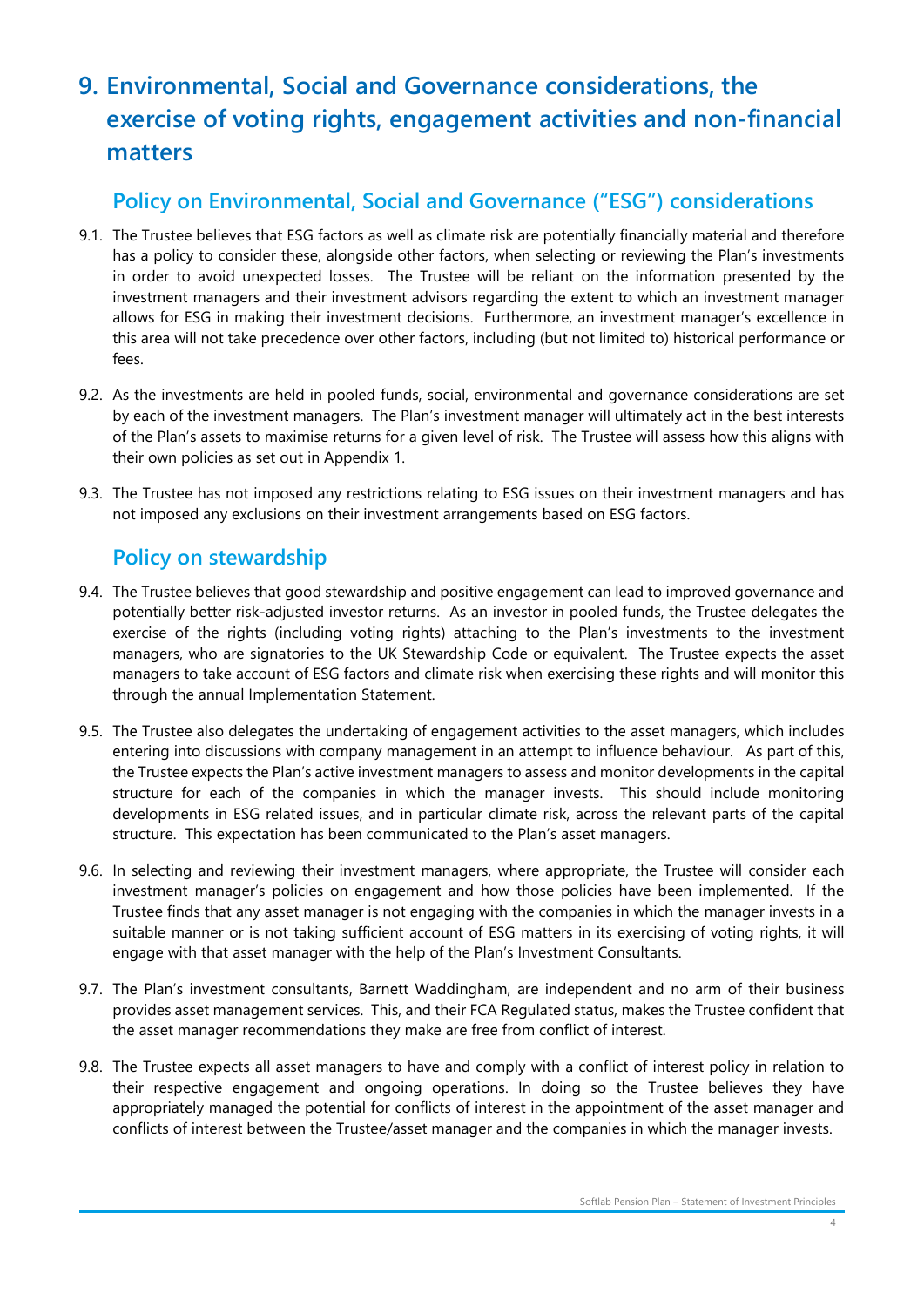# 9. Environmental, Social and Governance considerations, the exercise of voting rights, engagement activities and non-financial matters

### Policy on Environmental, Social and Governance ("ESG") considerations

- 9.1. The Trustee believes that ESG factors as well as climate risk are potentially financially material and therefore has a policy to consider these, alongside other factors, when selecting or reviewing the Plan's investments in order to avoid unexpected losses. The Trustee will be reliant on the information presented by the investment managers and their investment advisors regarding the extent to which an investment manager allows for ESG in making their investment decisions. Furthermore, an investment manager's excellence in this area will not take precedence over other factors, including (but not limited to) historical performance or fees.
- 9.2. As the investments are held in pooled funds, social, environmental and governance considerations are set by each of the investment managers. The Plan's investment manager will ultimately act in the best interests of the Plan's assets to maximise returns for a given level of risk. The Trustee will assess how this aligns with their own policies as set out in Appendix 1.
- 9.3. The Trustee has not imposed any restrictions relating to ESG issues on their investment managers and has not imposed any exclusions on their investment arrangements based on ESG factors.

#### Policy on stewardship

- 9.4. The Trustee believes that good stewardship and positive engagement can lead to improved governance and potentially better risk-adjusted investor returns. As an investor in pooled funds, the Trustee delegates the exercise of the rights (including voting rights) attaching to the Plan's investments to the investment managers, who are signatories to the UK Stewardship Code or equivalent. The Trustee expects the asset managers to take account of ESG factors and climate risk when exercising these rights and will monitor this through the annual Implementation Statement.
- 9.5. The Trustee also delegates the undertaking of engagement activities to the asset managers, which includes entering into discussions with company management in an attempt to influence behaviour. As part of this, the Trustee expects the Plan's active investment managers to assess and monitor developments in the capital structure for each of the companies in which the manager invests. This should include monitoring developments in ESG related issues, and in particular climate risk, across the relevant parts of the capital structure. This expectation has been communicated to the Plan's asset managers.
- 9.6. In selecting and reviewing their investment managers, where appropriate, the Trustee will consider each investment manager's policies on engagement and how those policies have been implemented. If the Trustee finds that any asset manager is not engaging with the companies in which the manager invests in a suitable manner or is not taking sufficient account of ESG matters in its exercising of voting rights, it will engage with that asset manager with the help of the Plan's Investment Consultants.
- 9.7. The Plan's investment consultants, Barnett Waddingham, are independent and no arm of their business provides asset management services. This, and their FCA Regulated status, makes the Trustee confident that the asset manager recommendations they make are free from conflict of interest.
- 9.8. The Trustee expects all asset managers to have and comply with a conflict of interest policy in relation to their respective engagement and ongoing operations. In doing so the Trustee believes they have appropriately managed the potential for conflicts of interest in the appointment of the asset manager and conflicts of interest between the Trustee/asset manager and the companies in which the manager invests.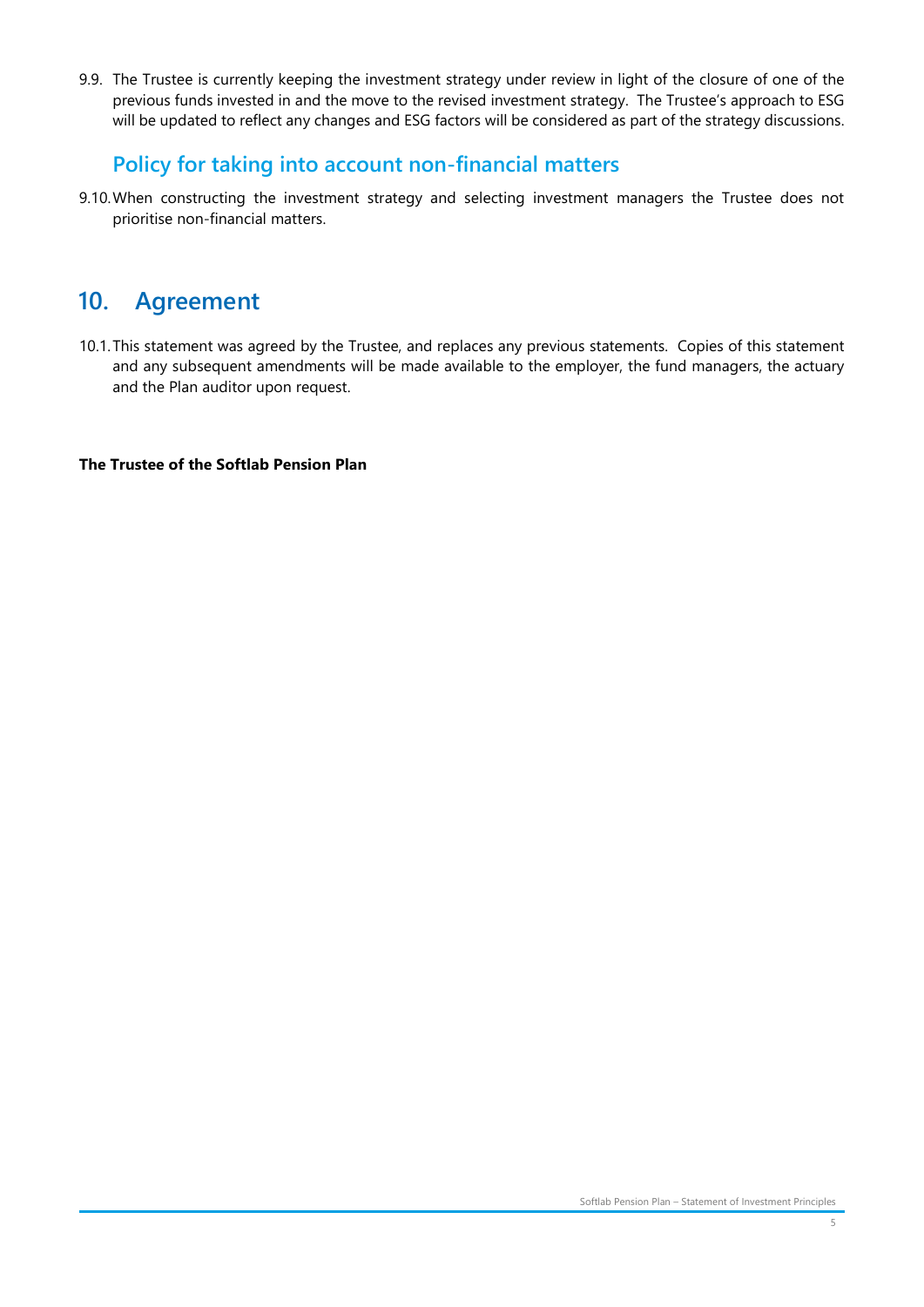9.9. The Trustee is currently keeping the investment strategy under review in light of the closure of one of the previous funds invested in and the move to the revised investment strategy. The Trustee's approach to ESG will be updated to reflect any changes and ESG factors will be considered as part of the strategy discussions.

#### Policy for taking into account non-financial matters

9.10.When constructing the investment strategy and selecting investment managers the Trustee does not prioritise non-financial matters.

# 10. Agreement

10.1.This statement was agreed by the Trustee, and replaces any previous statements. Copies of this statement and any subsequent amendments will be made available to the employer, the fund managers, the actuary and the Plan auditor upon request.

#### The Trustee of the Softlab Pension Plan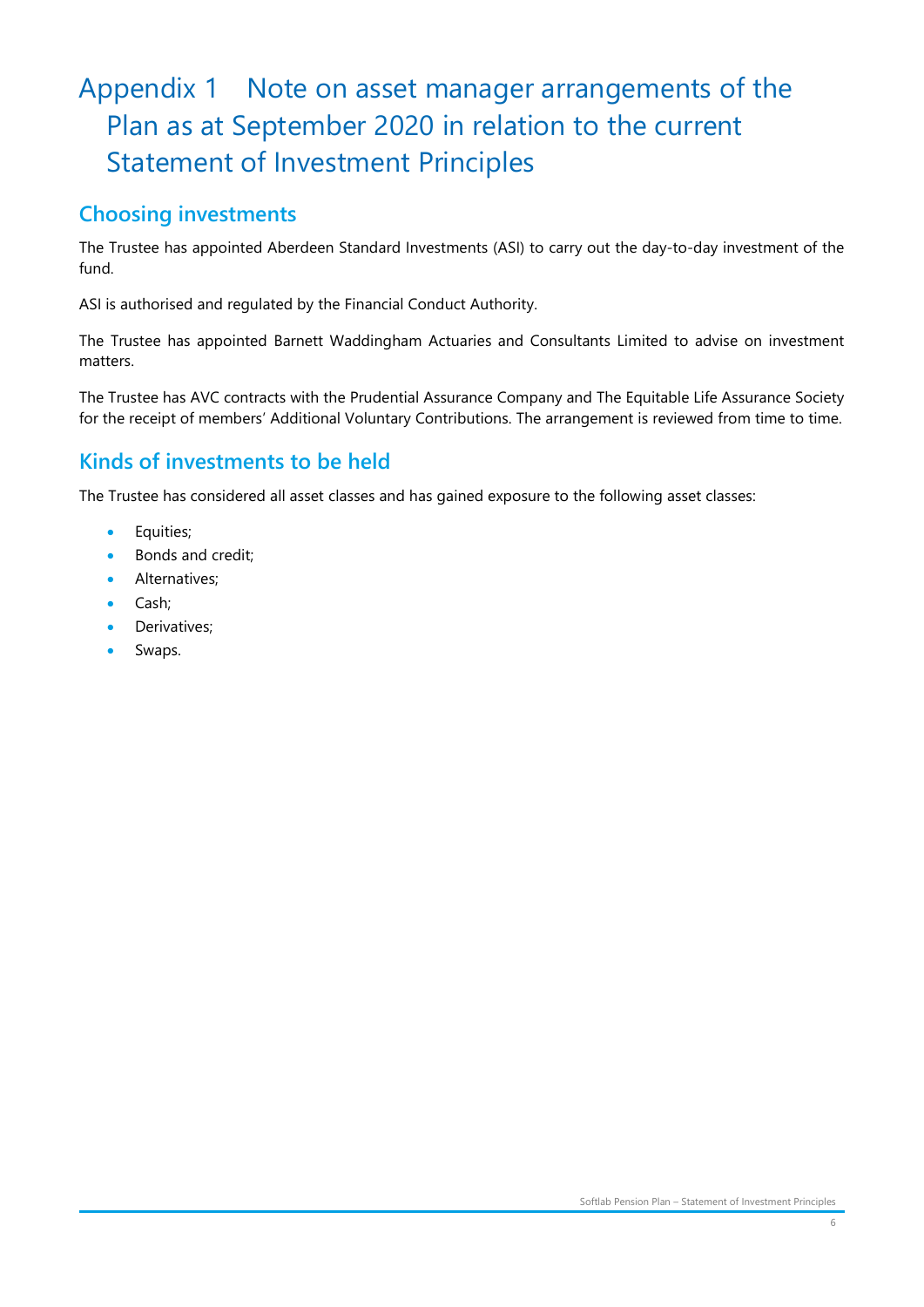# Appendix 1 Note on asset manager arrangements of the Plan as at September 2020 in relation to the current Statement of Investment Principles

#### Choosing investments

The Trustee has appointed Aberdeen Standard Investments (ASI) to carry out the day-to-day investment of the fund.

ASI is authorised and regulated by the Financial Conduct Authority.

The Trustee has appointed Barnett Waddingham Actuaries and Consultants Limited to advise on investment matters.

The Trustee has AVC contracts with the Prudential Assurance Company and The Equitable Life Assurance Society for the receipt of members' Additional Voluntary Contributions. The arrangement is reviewed from time to time.

### Kinds of investments to be held

The Trustee has considered all asset classes and has gained exposure to the following asset classes:

- **•** Equities;
- Bonds and credit;
- Alternatives;
- Cash;
- Derivatives;
- Swaps.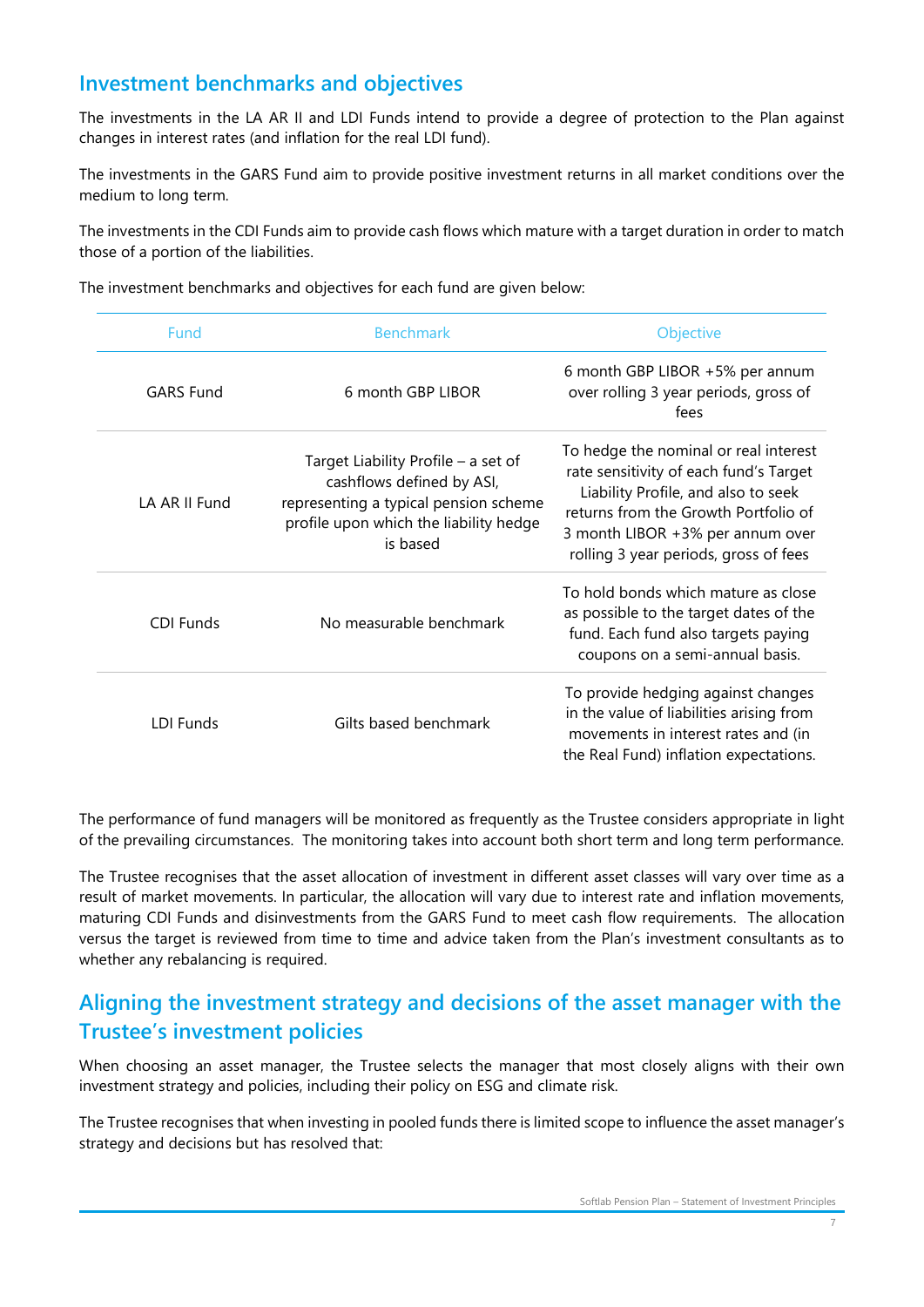#### Investment benchmarks and objectives

The investments in the LA AR II and LDI Funds intend to provide a degree of protection to the Plan against changes in interest rates (and inflation for the real LDI fund).

The investments in the GARS Fund aim to provide positive investment returns in all market conditions over the medium to long term.

The investments in the CDI Funds aim to provide cash flows which mature with a target duration in order to match those of a portion of the liabilities.

The investment benchmarks and objectives for each fund are given below:

| <b>Fund</b>      | <b>Benchmark</b>                                                                                                                                                | Objective                                                                                                                                                                                                                                   |
|------------------|-----------------------------------------------------------------------------------------------------------------------------------------------------------------|---------------------------------------------------------------------------------------------------------------------------------------------------------------------------------------------------------------------------------------------|
| <b>GARS Fund</b> | 6 month GBP LIBOR                                                                                                                                               | 6 month GBP LIBOR +5% per annum<br>over rolling 3 year periods, gross of<br>fees                                                                                                                                                            |
| LA AR II Fund    | Target Liability Profile - a set of<br>cashflows defined by ASI,<br>representing a typical pension scheme<br>profile upon which the liability hedge<br>is based | To hedge the nominal or real interest<br>rate sensitivity of each fund's Target<br>Liability Profile, and also to seek<br>returns from the Growth Portfolio of<br>3 month LIBOR +3% per annum over<br>rolling 3 year periods, gross of fees |
| <b>CDI Funds</b> | No measurable benchmark                                                                                                                                         | To hold bonds which mature as close<br>as possible to the target dates of the<br>fund. Each fund also targets paying<br>coupons on a semi-annual basis.                                                                                     |
| LDI Funds        | Gilts based benchmark                                                                                                                                           | To provide hedging against changes<br>in the value of liabilities arising from<br>movements in interest rates and (in<br>the Real Fund) inflation expectations.                                                                             |

The performance of fund managers will be monitored as frequently as the Trustee considers appropriate in light of the prevailing circumstances. The monitoring takes into account both short term and long term performance.

The Trustee recognises that the asset allocation of investment in different asset classes will vary over time as a result of market movements. In particular, the allocation will vary due to interest rate and inflation movements, maturing CDI Funds and disinvestments from the GARS Fund to meet cash flow requirements. The allocation versus the target is reviewed from time to time and advice taken from the Plan's investment consultants as to whether any rebalancing is required.

#### Aligning the investment strategy and decisions of the asset manager with the Trustee's investment policies

When choosing an asset manager, the Trustee selects the manager that most closely aligns with their own investment strategy and policies, including their policy on ESG and climate risk.

The Trustee recognises that when investing in pooled funds there is limited scope to influence the asset manager's strategy and decisions but has resolved that: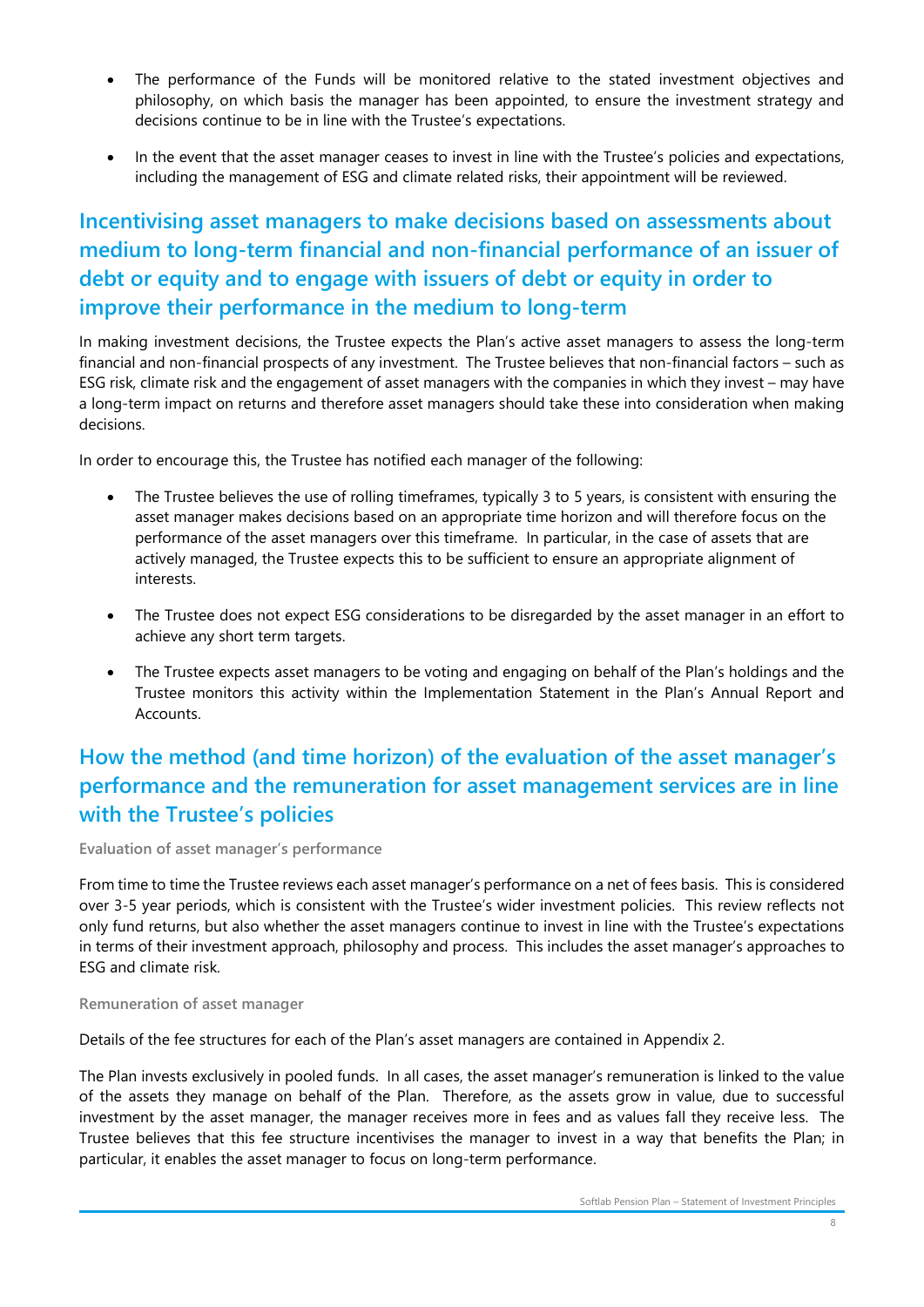- The performance of the Funds will be monitored relative to the stated investment objectives and philosophy, on which basis the manager has been appointed, to ensure the investment strategy and decisions continue to be in line with the Trustee's expectations.
- In the event that the asset manager ceases to invest in line with the Trustee's policies and expectations, including the management of ESG and climate related risks, their appointment will be reviewed.

## Incentivising asset managers to make decisions based on assessments about medium to long-term financial and non-financial performance of an issuer of debt or equity and to engage with issuers of debt or equity in order to improve their performance in the medium to long-term

In making investment decisions, the Trustee expects the Plan's active asset managers to assess the long-term financial and non-financial prospects of any investment. The Trustee believes that non-financial factors – such as ESG risk, climate risk and the engagement of asset managers with the companies in which they invest – may have a long-term impact on returns and therefore asset managers should take these into consideration when making decisions.

In order to encourage this, the Trustee has notified each manager of the following:

- The Trustee believes the use of rolling timeframes, typically 3 to 5 years, is consistent with ensuring the asset manager makes decisions based on an appropriate time horizon and will therefore focus on the performance of the asset managers over this timeframe. In particular, in the case of assets that are actively managed, the Trustee expects this to be sufficient to ensure an appropriate alignment of interests.
- The Trustee does not expect ESG considerations to be disregarded by the asset manager in an effort to achieve any short term targets.
- The Trustee expects asset managers to be voting and engaging on behalf of the Plan's holdings and the Trustee monitors this activity within the Implementation Statement in the Plan's Annual Report and Accounts.

# How the method (and time horizon) of the evaluation of the asset manager's performance and the remuneration for asset management services are in line with the Trustee's policies

Evaluation of asset manager's performance

From time to time the Trustee reviews each asset manager's performance on a net of fees basis. This is considered over 3-5 year periods, which is consistent with the Trustee's wider investment policies. This review reflects not only fund returns, but also whether the asset managers continue to invest in line with the Trustee's expectations in terms of their investment approach, philosophy and process. This includes the asset manager's approaches to ESG and climate risk.

Remuneration of asset manager

Details of the fee structures for each of the Plan's asset managers are contained in Appendix 2.

The Plan invests exclusively in pooled funds. In all cases, the asset manager's remuneration is linked to the value of the assets they manage on behalf of the Plan. Therefore, as the assets grow in value, due to successful investment by the asset manager, the manager receives more in fees and as values fall they receive less. The Trustee believes that this fee structure incentivises the manager to invest in a way that benefits the Plan; in particular, it enables the asset manager to focus on long-term performance.